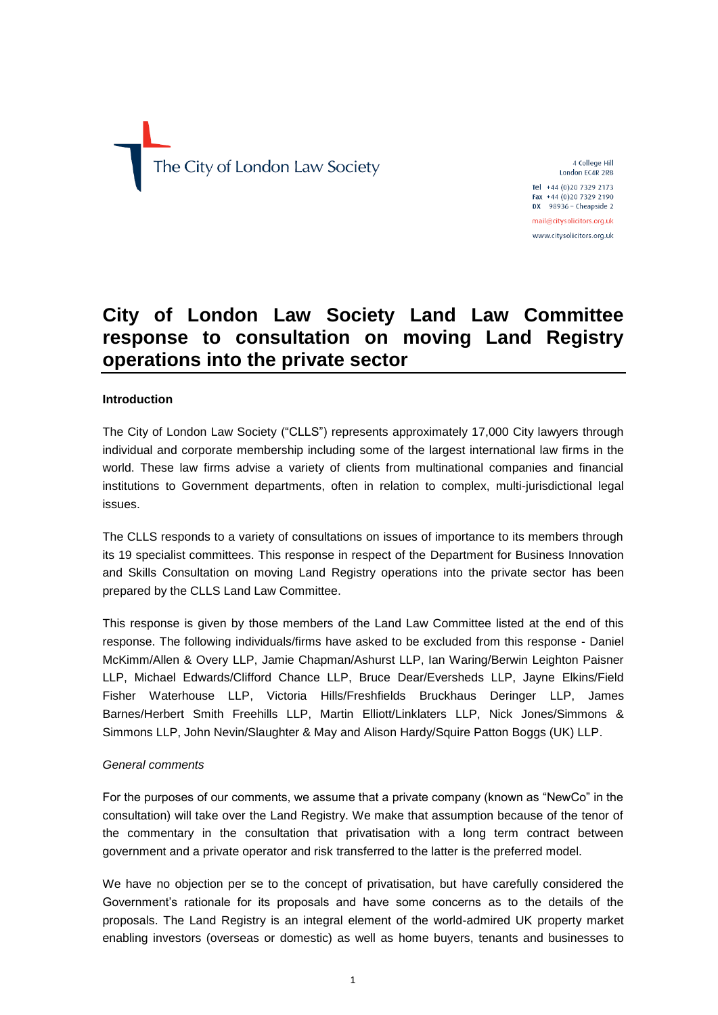The City of London Law Society

4 College Hill London EC4R 2RB

Tel +44 (0)20 7329 2173 Fax +44 (0)20 7329 2190 DX  $98936 -$  Cheapside 2 mail@citysolicitors.org.uk

www.citysolicitors.org.uk

# **City of London Law Society Land Law Committee response to consultation on moving Land Registry operations into the private sector**

## **Introduction**

The City of London Law Society ("CLLS") represents approximately 17,000 City lawyers through individual and corporate membership including some of the largest international law firms in the world. These law firms advise a variety of clients from multinational companies and financial institutions to Government departments, often in relation to complex, multi-jurisdictional legal issues.

The CLLS responds to a variety of consultations on issues of importance to its members through its 19 specialist committees. This response in respect of the Department for Business Innovation and Skills Consultation on moving Land Registry operations into the private sector has been prepared by the CLLS Land Law Committee.

This response is given by those members of the Land Law Committee listed at the end of this response. The following individuals/firms have asked to be excluded from this response - Daniel McKimm/Allen & Overy LLP, Jamie Chapman/Ashurst LLP, Ian Waring/Berwin Leighton Paisner LLP, Michael Edwards/Clifford Chance LLP, Bruce Dear/Eversheds LLP, Jayne Elkins/Field Fisher Waterhouse LLP, Victoria Hills/Freshfields Bruckhaus Deringer LLP, James Barnes/Herbert Smith Freehills LLP, Martin Elliott/Linklaters LLP, Nick Jones/Simmons & Simmons LLP, John Nevin/Slaughter & May and Alison Hardy/Squire Patton Boggs (UK) LLP.

## *General comments*

For the purposes of our comments, we assume that a private company (known as "NewCo" in the consultation) will take over the Land Registry. We make that assumption because of the tenor of the commentary in the consultation that privatisation with a long term contract between government and a private operator and risk transferred to the latter is the preferred model.

We have no objection per se to the concept of privatisation, but have carefully considered the Government's rationale for its proposals and have some concerns as to the details of the proposals. The Land Registry is an integral element of the world-admired UK property market enabling investors (overseas or domestic) as well as home buyers, tenants and businesses to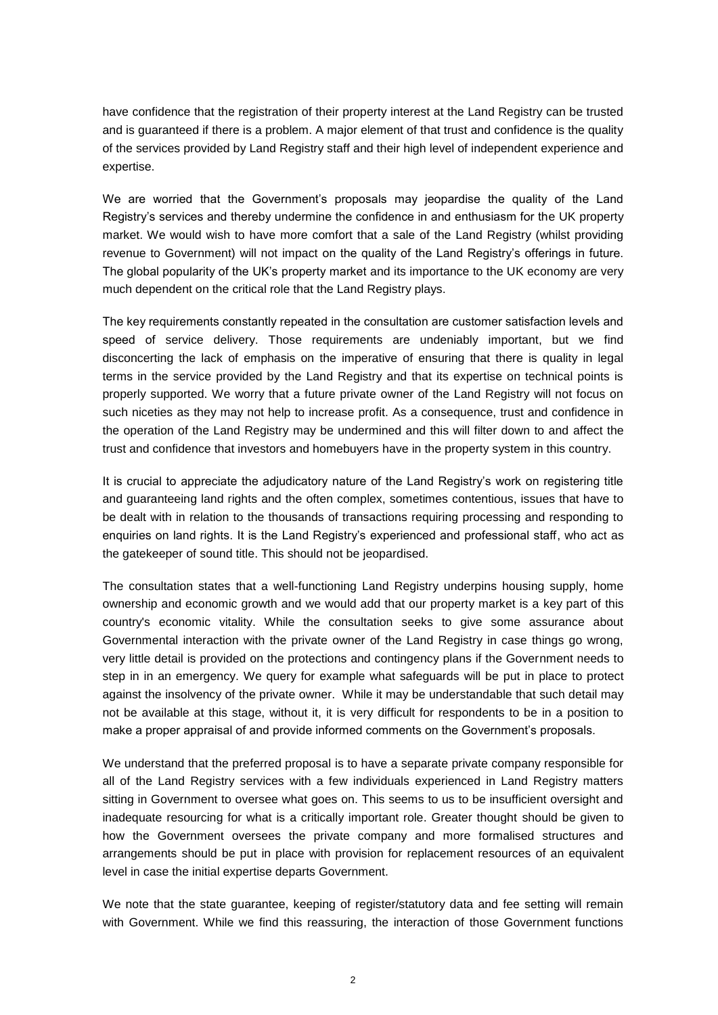have confidence that the registration of their property interest at the Land Registry can be trusted and is guaranteed if there is a problem. A major element of that trust and confidence is the quality of the services provided by Land Registry staff and their high level of independent experience and expertise.

We are worried that the Government's proposals may jeopardise the quality of the Land Registry's services and thereby undermine the confidence in and enthusiasm for the UK property market. We would wish to have more comfort that a sale of the Land Registry (whilst providing revenue to Government) will not impact on the quality of the Land Registry's offerings in future. The global popularity of the UK's property market and its importance to the UK economy are very much dependent on the critical role that the Land Registry plays.

The key requirements constantly repeated in the consultation are customer satisfaction levels and speed of service delivery. Those requirements are undeniably important, but we find disconcerting the lack of emphasis on the imperative of ensuring that there is quality in legal terms in the service provided by the Land Registry and that its expertise on technical points is properly supported. We worry that a future private owner of the Land Registry will not focus on such niceties as they may not help to increase profit. As a consequence, trust and confidence in the operation of the Land Registry may be undermined and this will filter down to and affect the trust and confidence that investors and homebuyers have in the property system in this country.

It is crucial to appreciate the adjudicatory nature of the Land Registry's work on registering title and guaranteeing land rights and the often complex, sometimes contentious, issues that have to be dealt with in relation to the thousands of transactions requiring processing and responding to enquiries on land rights. It is the Land Registry's experienced and professional staff, who act as the gatekeeper of sound title. This should not be jeopardised.

The consultation states that a well-functioning Land Registry underpins housing supply, home ownership and economic growth and we would add that our property market is a key part of this country's economic vitality. While the consultation seeks to give some assurance about Governmental interaction with the private owner of the Land Registry in case things go wrong, very little detail is provided on the protections and contingency plans if the Government needs to step in in an emergency. We query for example what safeguards will be put in place to protect against the insolvency of the private owner. While it may be understandable that such detail may not be available at this stage, without it, it is very difficult for respondents to be in a position to make a proper appraisal of and provide informed comments on the Government's proposals.

We understand that the preferred proposal is to have a separate private company responsible for all of the Land Registry services with a few individuals experienced in Land Registry matters sitting in Government to oversee what goes on. This seems to us to be insufficient oversight and inadequate resourcing for what is a critically important role. Greater thought should be given to how the Government oversees the private company and more formalised structures and arrangements should be put in place with provision for replacement resources of an equivalent level in case the initial expertise departs Government.

We note that the state guarantee, keeping of register/statutory data and fee setting will remain with Government. While we find this reassuring, the interaction of those Government functions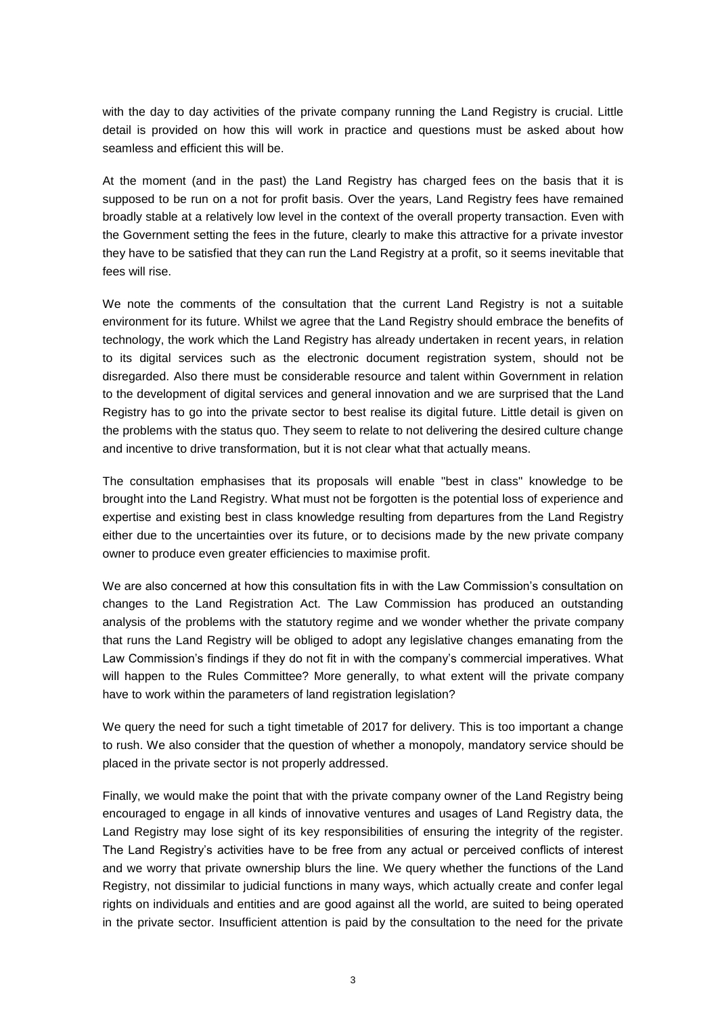with the day to day activities of the private company running the Land Registry is crucial. Little detail is provided on how this will work in practice and questions must be asked about how seamless and efficient this will be.

At the moment (and in the past) the Land Registry has charged fees on the basis that it is supposed to be run on a not for profit basis. Over the years, Land Registry fees have remained broadly stable at a relatively low level in the context of the overall property transaction. Even with the Government setting the fees in the future, clearly to make this attractive for a private investor they have to be satisfied that they can run the Land Registry at a profit, so it seems inevitable that fees will rise.

We note the comments of the consultation that the current Land Registry is not a suitable environment for its future. Whilst we agree that the Land Registry should embrace the benefits of technology, the work which the Land Registry has already undertaken in recent years, in relation to its digital services such as the electronic document registration system, should not be disregarded. Also there must be considerable resource and talent within Government in relation to the development of digital services and general innovation and we are surprised that the Land Registry has to go into the private sector to best realise its digital future. Little detail is given on the problems with the status quo. They seem to relate to not delivering the desired culture change and incentive to drive transformation, but it is not clear what that actually means.

The consultation emphasises that its proposals will enable "best in class" knowledge to be brought into the Land Registry. What must not be forgotten is the potential loss of experience and expertise and existing best in class knowledge resulting from departures from the Land Registry either due to the uncertainties over its future, or to decisions made by the new private company owner to produce even greater efficiencies to maximise profit.

We are also concerned at how this consultation fits in with the Law Commission's consultation on changes to the Land Registration Act. The Law Commission has produced an outstanding analysis of the problems with the statutory regime and we wonder whether the private company that runs the Land Registry will be obliged to adopt any legislative changes emanating from the Law Commission's findings if they do not fit in with the company's commercial imperatives. What will happen to the Rules Committee? More generally, to what extent will the private company have to work within the parameters of land registration legislation?

We query the need for such a tight timetable of 2017 for delivery. This is too important a change to rush. We also consider that the question of whether a monopoly, mandatory service should be placed in the private sector is not properly addressed.

Finally, we would make the point that with the private company owner of the Land Registry being encouraged to engage in all kinds of innovative ventures and usages of Land Registry data, the Land Registry may lose sight of its key responsibilities of ensuring the integrity of the register. The Land Registry's activities have to be free from any actual or perceived conflicts of interest and we worry that private ownership blurs the line. We query whether the functions of the Land Registry, not dissimilar to judicial functions in many ways, which actually create and confer legal rights on individuals and entities and are good against all the world, are suited to being operated in the private sector. Insufficient attention is paid by the consultation to the need for the private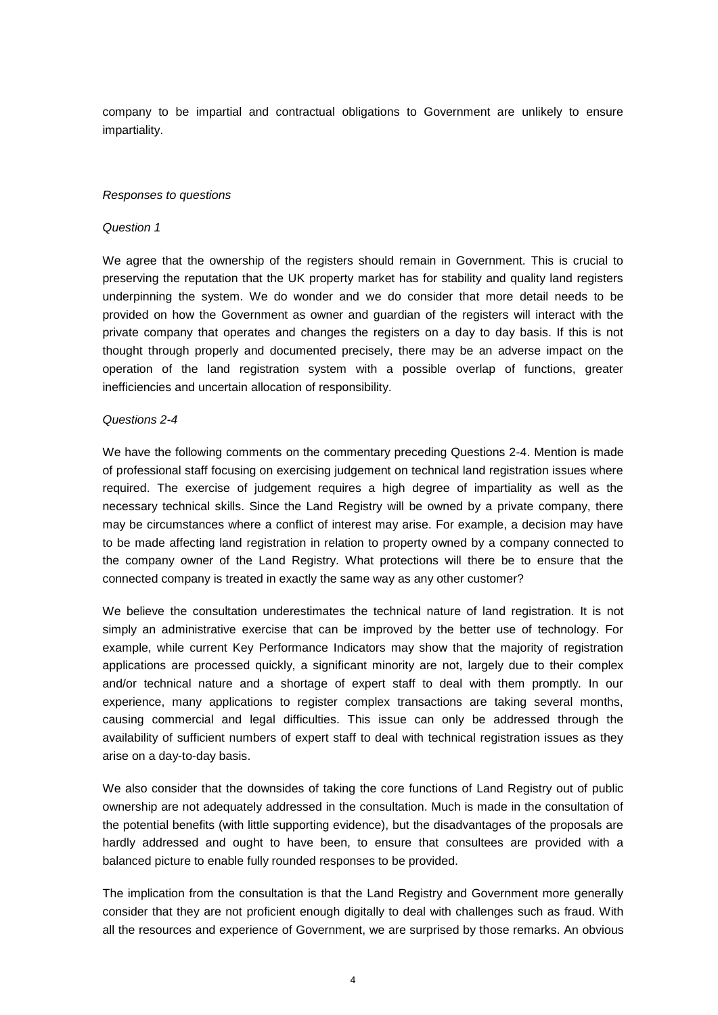company to be impartial and contractual obligations to Government are unlikely to ensure impartiality.

#### *Responses to questions*

#### *Question 1*

We agree that the ownership of the registers should remain in Government. This is crucial to preserving the reputation that the UK property market has for stability and quality land registers underpinning the system. We do wonder and we do consider that more detail needs to be provided on how the Government as owner and guardian of the registers will interact with the private company that operates and changes the registers on a day to day basis. If this is not thought through properly and documented precisely, there may be an adverse impact on the operation of the land registration system with a possible overlap of functions, greater inefficiencies and uncertain allocation of responsibility.

## *Questions 2-4*

We have the following comments on the commentary preceding Questions 2-4. Mention is made of professional staff focusing on exercising judgement on technical land registration issues where required. The exercise of judgement requires a high degree of impartiality as well as the necessary technical skills. Since the Land Registry will be owned by a private company, there may be circumstances where a conflict of interest may arise. For example, a decision may have to be made affecting land registration in relation to property owned by a company connected to the company owner of the Land Registry. What protections will there be to ensure that the connected company is treated in exactly the same way as any other customer?

We believe the consultation underestimates the technical nature of land registration. It is not simply an administrative exercise that can be improved by the better use of technology. For example, while current Key Performance Indicators may show that the majority of registration applications are processed quickly, a significant minority are not, largely due to their complex and/or technical nature and a shortage of expert staff to deal with them promptly. In our experience, many applications to register complex transactions are taking several months, causing commercial and legal difficulties. This issue can only be addressed through the availability of sufficient numbers of expert staff to deal with technical registration issues as they arise on a day-to-day basis.

We also consider that the downsides of taking the core functions of Land Registry out of public ownership are not adequately addressed in the consultation. Much is made in the consultation of the potential benefits (with little supporting evidence), but the disadvantages of the proposals are hardly addressed and ought to have been, to ensure that consultees are provided with a balanced picture to enable fully rounded responses to be provided.

The implication from the consultation is that the Land Registry and Government more generally consider that they are not proficient enough digitally to deal with challenges such as fraud. With all the resources and experience of Government, we are surprised by those remarks. An obvious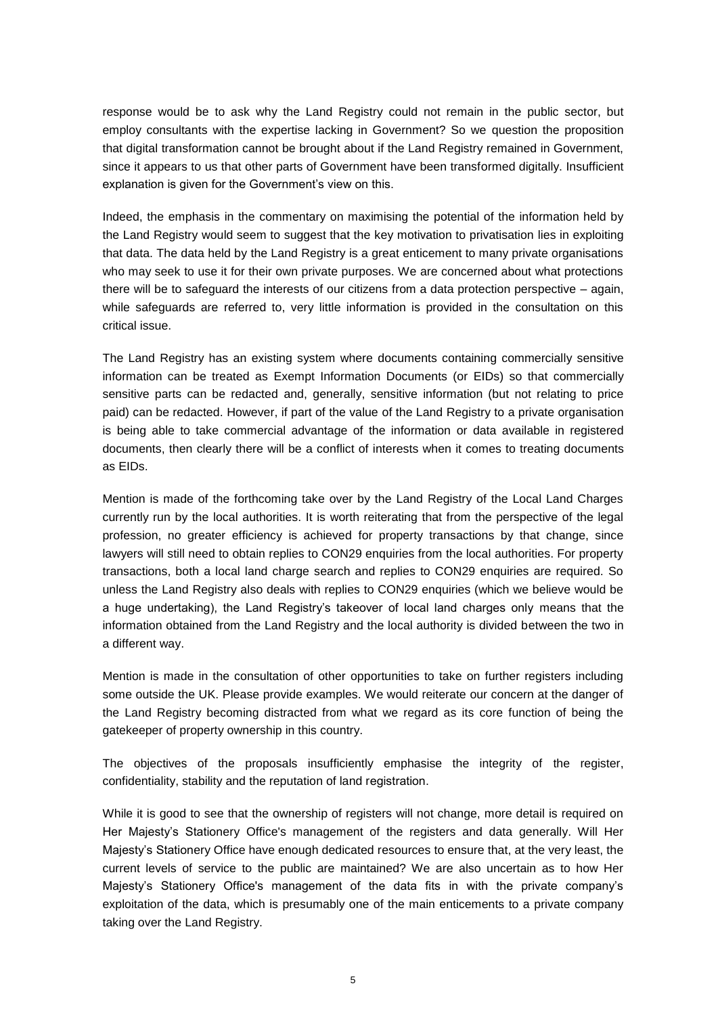response would be to ask why the Land Registry could not remain in the public sector, but employ consultants with the expertise lacking in Government? So we question the proposition that digital transformation cannot be brought about if the Land Registry remained in Government, since it appears to us that other parts of Government have been transformed digitally. Insufficient explanation is given for the Government's view on this.

Indeed, the emphasis in the commentary on maximising the potential of the information held by the Land Registry would seem to suggest that the key motivation to privatisation lies in exploiting that data. The data held by the Land Registry is a great enticement to many private organisations who may seek to use it for their own private purposes. We are concerned about what protections there will be to safeguard the interests of our citizens from a data protection perspective – again, while safeguards are referred to, very little information is provided in the consultation on this critical issue.

The Land Registry has an existing system where documents containing commercially sensitive information can be treated as Exempt Information Documents (or EIDs) so that commercially sensitive parts can be redacted and, generally, sensitive information (but not relating to price paid) can be redacted. However, if part of the value of the Land Registry to a private organisation is being able to take commercial advantage of the information or data available in registered documents, then clearly there will be a conflict of interests when it comes to treating documents as EIDs.

Mention is made of the forthcoming take over by the Land Registry of the Local Land Charges currently run by the local authorities. It is worth reiterating that from the perspective of the legal profession, no greater efficiency is achieved for property transactions by that change, since lawyers will still need to obtain replies to CON29 enquiries from the local authorities. For property transactions, both a local land charge search and replies to CON29 enquiries are required. So unless the Land Registry also deals with replies to CON29 enquiries (which we believe would be a huge undertaking), the Land Registry's takeover of local land charges only means that the information obtained from the Land Registry and the local authority is divided between the two in a different way.

Mention is made in the consultation of other opportunities to take on further registers including some outside the UK. Please provide examples. We would reiterate our concern at the danger of the Land Registry becoming distracted from what we regard as its core function of being the gatekeeper of property ownership in this country.

The objectives of the proposals insufficiently emphasise the integrity of the register, confidentiality, stability and the reputation of land registration.

While it is good to see that the ownership of registers will not change, more detail is required on Her Majesty's Stationery Office's management of the registers and data generally. Will Her Majesty's Stationery Office have enough dedicated resources to ensure that, at the very least, the current levels of service to the public are maintained? We are also uncertain as to how Her Majesty's Stationery Office's management of the data fits in with the private company's exploitation of the data, which is presumably one of the main enticements to a private company taking over the Land Registry.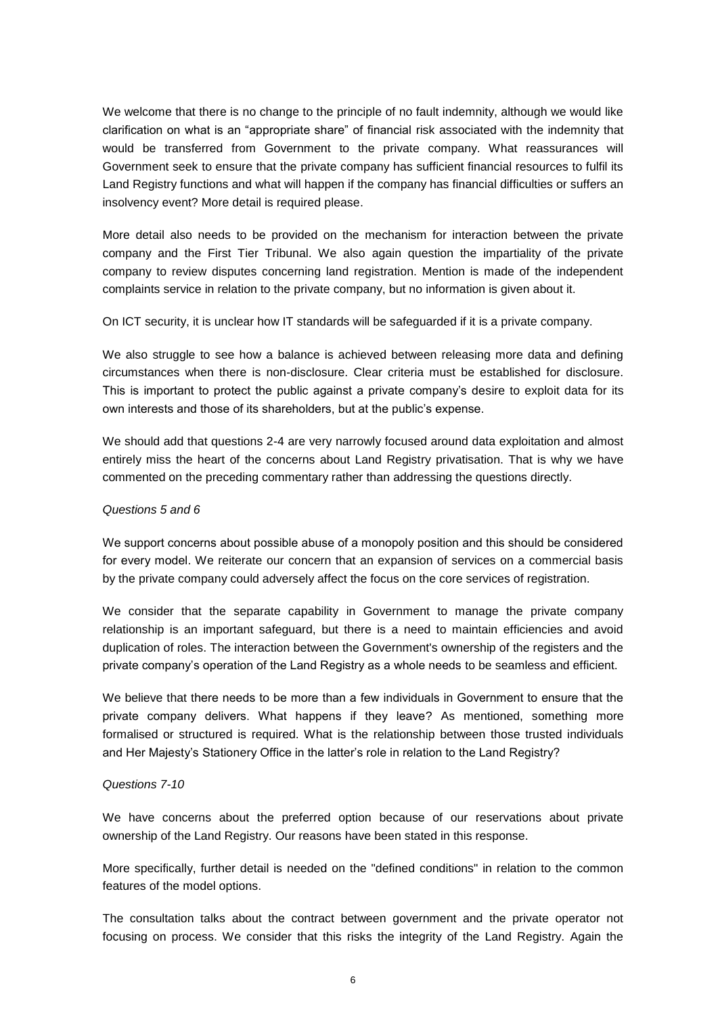We welcome that there is no change to the principle of no fault indemnity, although we would like clarification on what is an "appropriate share" of financial risk associated with the indemnity that would be transferred from Government to the private company. What reassurances will Government seek to ensure that the private company has sufficient financial resources to fulfil its Land Registry functions and what will happen if the company has financial difficulties or suffers an insolvency event? More detail is required please.

More detail also needs to be provided on the mechanism for interaction between the private company and the First Tier Tribunal. We also again question the impartiality of the private company to review disputes concerning land registration. Mention is made of the independent complaints service in relation to the private company, but no information is given about it.

On ICT security, it is unclear how IT standards will be safeguarded if it is a private company.

We also struggle to see how a balance is achieved between releasing more data and defining circumstances when there is non-disclosure. Clear criteria must be established for disclosure. This is important to protect the public against a private company's desire to exploit data for its own interests and those of its shareholders, but at the public's expense.

We should add that questions 2-4 are very narrowly focused around data exploitation and almost entirely miss the heart of the concerns about Land Registry privatisation. That is why we have commented on the preceding commentary rather than addressing the questions directly.

## *Questions 5 and 6*

We support concerns about possible abuse of a monopoly position and this should be considered for every model. We reiterate our concern that an expansion of services on a commercial basis by the private company could adversely affect the focus on the core services of registration.

We consider that the separate capability in Government to manage the private company relationship is an important safeguard, but there is a need to maintain efficiencies and avoid duplication of roles. The interaction between the Government's ownership of the registers and the private company's operation of the Land Registry as a whole needs to be seamless and efficient.

We believe that there needs to be more than a few individuals in Government to ensure that the private company delivers. What happens if they leave? As mentioned, something more formalised or structured is required. What is the relationship between those trusted individuals and Her Majesty's Stationery Office in the latter's role in relation to the Land Registry?

### *Questions 7-10*

We have concerns about the preferred option because of our reservations about private ownership of the Land Registry. Our reasons have been stated in this response.

More specifically, further detail is needed on the "defined conditions" in relation to the common features of the model options.

The consultation talks about the contract between government and the private operator not focusing on process. We consider that this risks the integrity of the Land Registry. Again the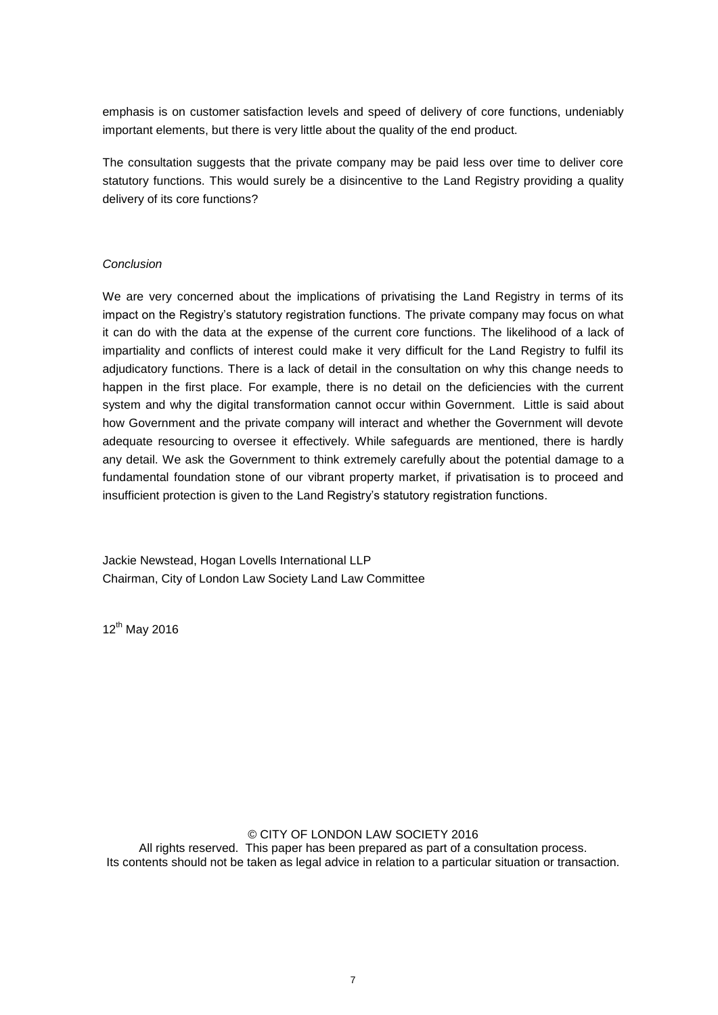emphasis is on customer satisfaction levels and speed of delivery of core functions, undeniably important elements, but there is very little about the quality of the end product.

The consultation suggests that the private company may be paid less over time to deliver core statutory functions. This would surely be a disincentive to the Land Registry providing a quality delivery of its core functions?

# *Conclusion*

We are very concerned about the implications of privatising the Land Registry in terms of its impact on the Registry's statutory registration functions. The private company may focus on what it can do with the data at the expense of the current core functions. The likelihood of a lack of impartiality and conflicts of interest could make it very difficult for the Land Registry to fulfil its adjudicatory functions. There is a lack of detail in the consultation on why this change needs to happen in the first place. For example, there is no detail on the deficiencies with the current system and why the digital transformation cannot occur within Government. Little is said about how Government and the private company will interact and whether the Government will devote adequate resourcing to oversee it effectively. While safeguards are mentioned, there is hardly any detail. We ask the Government to think extremely carefully about the potential damage to a fundamental foundation stone of our vibrant property market, if privatisation is to proceed and insufficient protection is given to the Land Registry's statutory registration functions.

Jackie Newstead, Hogan Lovells International LLP Chairman, City of London Law Society Land Law Committee

12<sup>th</sup> May 2016

© CITY OF LONDON LAW SOCIETY 2016 All rights reserved. This paper has been prepared as part of a consultation process. Its contents should not be taken as legal advice in relation to a particular situation or transaction.